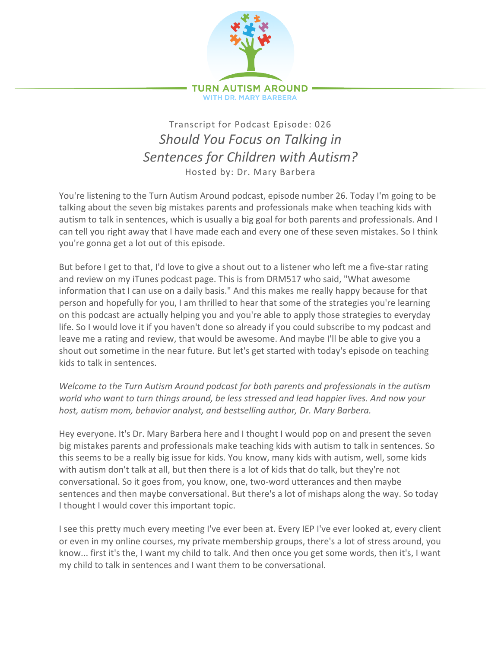

## Transcript for Podcast Episode: 026 *Should You Focus on Talking in* Sentences for Children with Autism? Hosted by: Dr. Mary Barbera

You're listening to the Turn Autism Around podcast, episode number 26. Today I'm going to be talking about the seven big mistakes parents and professionals make when teaching kids with autism to talk in sentences, which is usually a big goal for both parents and professionals. And I can tell you right away that I have made each and every one of these seven mistakes. So I think you're gonna get a lot out of this episode.

But before I get to that, I'd love to give a shout out to a listener who left me a five-star rating and review on my iTunes podcast page. This is from DRM517 who said, "What awesome information that I can use on a daily basis." And this makes me really happy because for that person and hopefully for you, I am thrilled to hear that some of the strategies you're learning on this podcast are actually helping you and you're able to apply those strategies to everyday life. So I would love it if you haven't done so already if you could subscribe to my podcast and leave me a rating and review, that would be awesome. And maybe I'll be able to give you a shout out sometime in the near future. But let's get started with today's episode on teaching kids to talk in sentences.

*Welcome to the Turn Autism Around podcast for both parents and professionals in the autism* world who want to turn things around, be less stressed and lead happier lives. And now your host, autism mom, behavior analyst, and bestselling author, Dr. Mary Barbera.

Hey everyone. It's Dr. Mary Barbera here and I thought I would pop on and present the seven big mistakes parents and professionals make teaching kids with autism to talk in sentences. So this seems to be a really big issue for kids. You know, many kids with autism, well, some kids with autism don't talk at all, but then there is a lot of kids that do talk, but they're not conversational. So it goes from, you know, one, two-word utterances and then maybe sentences and then maybe conversational. But there's a lot of mishaps along the way. So today I thought I would cover this important topic.

I see this pretty much every meeting I've ever been at. Every IEP I've ever looked at, every client or even in my online courses, my private membership groups, there's a lot of stress around, you know... first it's the, I want my child to talk. And then once you get some words, then it's, I want my child to talk in sentences and I want them to be conversational.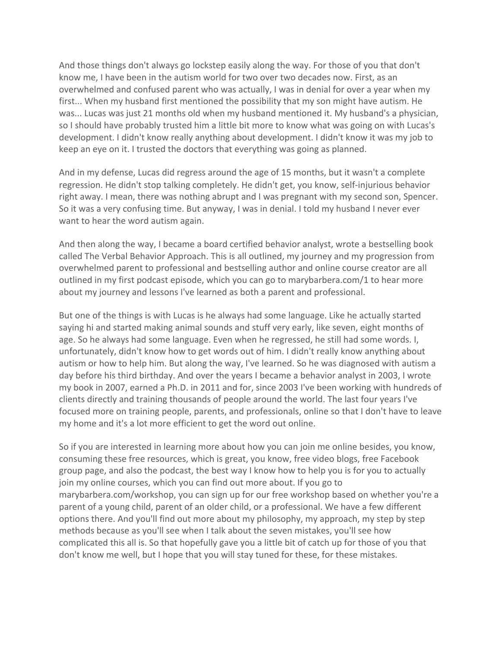And those things don't always go lockstep easily along the way. For those of you that don't know me, I have been in the autism world for two over two decades now. First, as an overwhelmed and confused parent who was actually, I was in denial for over a year when my first... When my husband first mentioned the possibility that my son might have autism. He was... Lucas was just 21 months old when my husband mentioned it. My husband's a physician, so I should have probably trusted him a little bit more to know what was going on with Lucas's development. I didn't know really anything about development. I didn't know it was my job to keep an eye on it. I trusted the doctors that everything was going as planned.

And in my defense, Lucas did regress around the age of 15 months, but it wasn't a complete regression. He didn't stop talking completely. He didn't get, you know, self-injurious behavior right away. I mean, there was nothing abrupt and I was pregnant with my second son, Spencer. So it was a very confusing time. But anyway, I was in denial. I told my husband I never ever want to hear the word autism again.

And then along the way, I became a board certified behavior analyst, wrote a bestselling book called The Verbal Behavior Approach. This is all outlined, my journey and my progression from overwhelmed parent to professional and bestselling author and online course creator are all outlined in my first podcast episode, which you can go to marybarbera.com/1 to hear more about my journey and lessons I've learned as both a parent and professional.

But one of the things is with Lucas is he always had some language. Like he actually started saying hi and started making animal sounds and stuff very early, like seven, eight months of age. So he always had some language. Even when he regressed, he still had some words. I, unfortunately, didn't know how to get words out of him. I didn't really know anything about autism or how to help him. But along the way, I've learned. So he was diagnosed with autism a day before his third birthday. And over the years I became a behavior analyst in 2003, I wrote my book in 2007, earned a Ph.D. in 2011 and for, since 2003 I've been working with hundreds of clients directly and training thousands of people around the world. The last four years I've focused more on training people, parents, and professionals, online so that I don't have to leave my home and it's a lot more efficient to get the word out online.

So if you are interested in learning more about how you can join me online besides, you know, consuming these free resources, which is great, you know, free video blogs, free Facebook group page, and also the podcast, the best way I know how to help you is for you to actually join my online courses, which you can find out more about. If you go to marybarbera.com/workshop, you can sign up for our free workshop based on whether you're a parent of a young child, parent of an older child, or a professional. We have a few different options there. And you'll find out more about my philosophy, my approach, my step by step methods because as you'll see when I talk about the seven mistakes, you'll see how complicated this all is. So that hopefully gave you a little bit of catch up for those of you that don't know me well, but I hope that you will stay tuned for these, for these mistakes.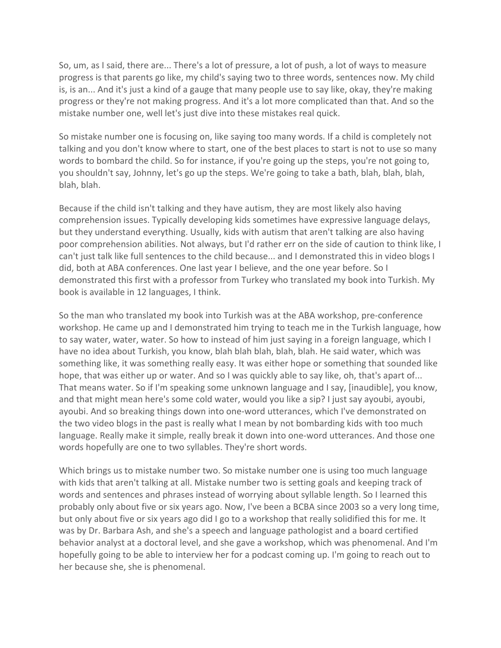So, um, as I said, there are... There's a lot of pressure, a lot of push, a lot of ways to measure progress is that parents go like, my child's saying two to three words, sentences now. My child is, is an... And it's just a kind of a gauge that many people use to say like, okay, they're making progress or they're not making progress. And it's a lot more complicated than that. And so the mistake number one, well let's just dive into these mistakes real quick.

So mistake number one is focusing on, like saying too many words. If a child is completely not talking and you don't know where to start, one of the best places to start is not to use so many words to bombard the child. So for instance, if you're going up the steps, you're not going to, you shouldn't say, Johnny, let's go up the steps. We're going to take a bath, blah, blah, blah, blah, blah.

Because if the child isn't talking and they have autism, they are most likely also having comprehension issues. Typically developing kids sometimes have expressive language delays, but they understand everything. Usually, kids with autism that aren't talking are also having poor comprehension abilities. Not always, but I'd rather err on the side of caution to think like, I can't just talk like full sentences to the child because... and I demonstrated this in video blogs I did, both at ABA conferences. One last year I believe, and the one year before. So I demonstrated this first with a professor from Turkey who translated my book into Turkish. My book is available in 12 languages, I think.

So the man who translated my book into Turkish was at the ABA workshop, pre-conference workshop. He came up and I demonstrated him trying to teach me in the Turkish language, how to say water, water, water. So how to instead of him just saying in a foreign language, which I have no idea about Turkish, you know, blah blah blah, blah, blah. He said water, which was something like, it was something really easy. It was either hope or something that sounded like hope, that was either up or water. And so I was quickly able to say like, oh, that's apart of... That means water. So if I'm speaking some unknown language and I say, [inaudible], you know, and that might mean here's some cold water, would you like a sip? I just say ayoubi, ayoubi, ayoubi. And so breaking things down into one-word utterances, which I've demonstrated on the two video blogs in the past is really what I mean by not bombarding kids with too much language. Really make it simple, really break it down into one-word utterances. And those one words hopefully are one to two syllables. They're short words.

Which brings us to mistake number two. So mistake number one is using too much language with kids that aren't talking at all. Mistake number two is setting goals and keeping track of words and sentences and phrases instead of worrying about syllable length. So I learned this probably only about five or six years ago. Now, I've been a BCBA since 2003 so a very long time, but only about five or six years ago did I go to a workshop that really solidified this for me. It was by Dr. Barbara Ash, and she's a speech and language pathologist and a board certified behavior analyst at a doctoral level, and she gave a workshop, which was phenomenal. And I'm hopefully going to be able to interview her for a podcast coming up. I'm going to reach out to her because she, she is phenomenal.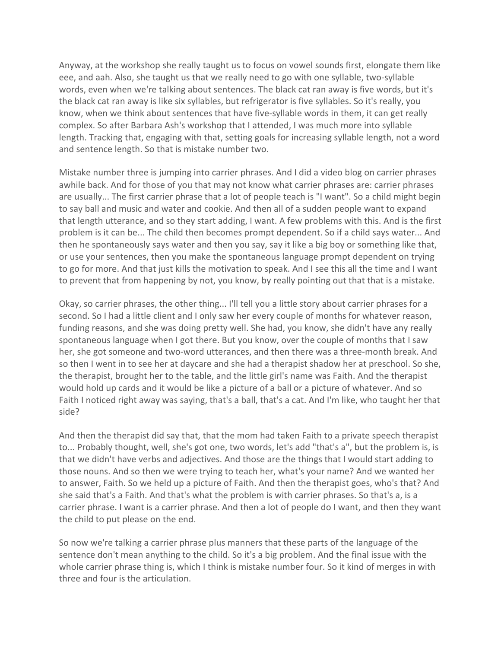Anyway, at the workshop she really taught us to focus on vowel sounds first, elongate them like eee, and aah. Also, she taught us that we really need to go with one syllable, two-syllable words, even when we're talking about sentences. The black cat ran away is five words, but it's the black cat ran away is like six syllables, but refrigerator is five syllables. So it's really, you know, when we think about sentences that have five-syllable words in them, it can get really complex. So after Barbara Ash's workshop that I attended, I was much more into syllable length. Tracking that, engaging with that, setting goals for increasing syllable length, not a word and sentence length. So that is mistake number two.

Mistake number three is jumping into carrier phrases. And I did a video blog on carrier phrases awhile back. And for those of you that may not know what carrier phrases are: carrier phrases are usually... The first carrier phrase that a lot of people teach is "I want". So a child might begin to say ball and music and water and cookie. And then all of a sudden people want to expand that length utterance, and so they start adding, I want. A few problems with this. And is the first problem is it can be... The child then becomes prompt dependent. So if a child says water... And then he spontaneously says water and then you say, say it like a big boy or something like that, or use your sentences, then you make the spontaneous language prompt dependent on trying to go for more. And that just kills the motivation to speak. And I see this all the time and I want to prevent that from happening by not, you know, by really pointing out that that is a mistake.

Okay, so carrier phrases, the other thing... I'll tell you a little story about carrier phrases for a second. So I had a little client and I only saw her every couple of months for whatever reason, funding reasons, and she was doing pretty well. She had, you know, she didn't have any really spontaneous language when I got there. But you know, over the couple of months that I saw her, she got someone and two-word utterances, and then there was a three-month break. And so then I went in to see her at daycare and she had a therapist shadow her at preschool. So she, the therapist, brought her to the table, and the little girl's name was Faith. And the therapist would hold up cards and it would be like a picture of a ball or a picture of whatever. And so Faith I noticed right away was saying, that's a ball, that's a cat. And I'm like, who taught her that side?

And then the therapist did say that, that the mom had taken Faith to a private speech therapist to... Probably thought, well, she's got one, two words, let's add "that's a", but the problem is, is that we didn't have verbs and adjectives. And those are the things that I would start adding to those nouns. And so then we were trying to teach her, what's your name? And we wanted her to answer, Faith. So we held up a picture of Faith. And then the therapist goes, who's that? And she said that's a Faith. And that's what the problem is with carrier phrases. So that's a, is a carrier phrase. I want is a carrier phrase. And then a lot of people do I want, and then they want the child to put please on the end.

So now we're talking a carrier phrase plus manners that these parts of the language of the sentence don't mean anything to the child. So it's a big problem. And the final issue with the whole carrier phrase thing is, which I think is mistake number four. So it kind of merges in with three and four is the articulation.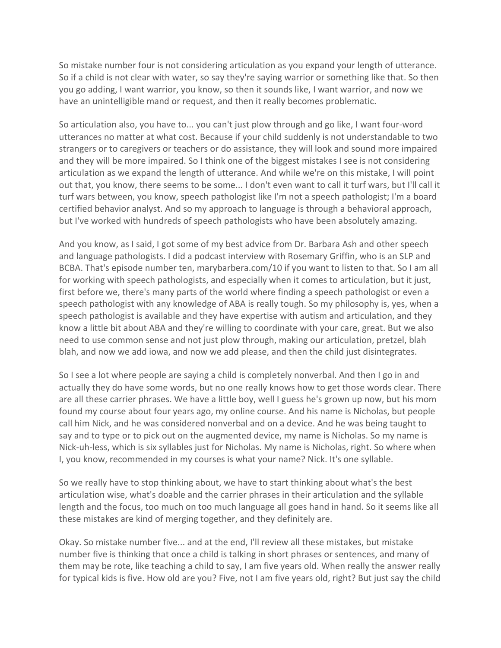So mistake number four is not considering articulation as you expand your length of utterance. So if a child is not clear with water, so say they're saying warrior or something like that. So then you go adding, I want warrior, you know, so then it sounds like, I want warrior, and now we have an unintelligible mand or request, and then it really becomes problematic.

So articulation also, you have to... you can't just plow through and go like, I want four-word utterances no matter at what cost. Because if your child suddenly is not understandable to two strangers or to caregivers or teachers or do assistance, they will look and sound more impaired and they will be more impaired. So I think one of the biggest mistakes I see is not considering articulation as we expand the length of utterance. And while we're on this mistake, I will point out that, you know, there seems to be some... I don't even want to call it turf wars, but I'll call it turf wars between, you know, speech pathologist like I'm not a speech pathologist; I'm a board certified behavior analyst. And so my approach to language is through a behavioral approach, but I've worked with hundreds of speech pathologists who have been absolutely amazing.

And you know, as I said, I got some of my best advice from Dr. Barbara Ash and other speech and language pathologists. I did a podcast interview with Rosemary Griffin, who is an SLP and BCBA. That's episode number ten, marybarbera.com/10 if you want to listen to that. So I am all for working with speech pathologists, and especially when it comes to articulation, but it just, first before we, there's many parts of the world where finding a speech pathologist or even a speech pathologist with any knowledge of ABA is really tough. So my philosophy is, yes, when a speech pathologist is available and they have expertise with autism and articulation, and they know a little bit about ABA and they're willing to coordinate with your care, great. But we also need to use common sense and not just plow through, making our articulation, pretzel, blah blah, and now we add iowa, and now we add please, and then the child just disintegrates.

So I see a lot where people are saying a child is completely nonverbal. And then I go in and actually they do have some words, but no one really knows how to get those words clear. There are all these carrier phrases. We have a little boy, well I guess he's grown up now, but his mom found my course about four years ago, my online course. And his name is Nicholas, but people call him Nick, and he was considered nonverbal and on a device. And he was being taught to say and to type or to pick out on the augmented device, my name is Nicholas. So my name is Nick-uh-less, which is six syllables just for Nicholas. My name is Nicholas, right. So where when I, you know, recommended in my courses is what your name? Nick. It's one syllable.

So we really have to stop thinking about, we have to start thinking about what's the best articulation wise, what's doable and the carrier phrases in their articulation and the syllable length and the focus, too much on too much language all goes hand in hand. So it seems like all these mistakes are kind of merging together, and they definitely are.

Okay. So mistake number five... and at the end, I'll review all these mistakes, but mistake number five is thinking that once a child is talking in short phrases or sentences, and many of them may be rote, like teaching a child to say, I am five years old. When really the answer really for typical kids is five. How old are you? Five, not I am five years old, right? But just say the child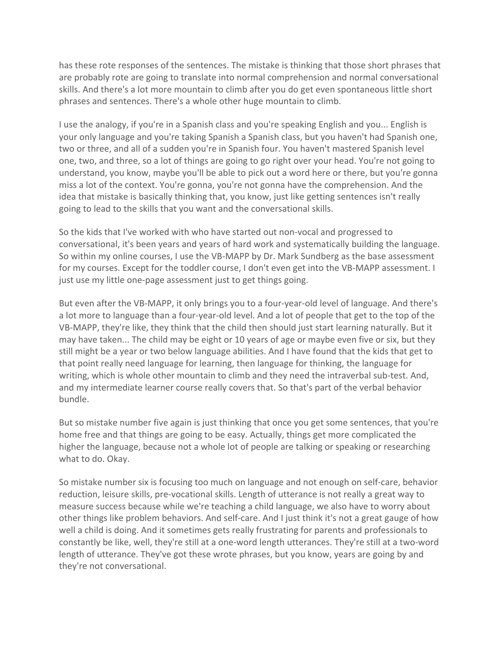has these rote responses of the sentences. The mistake is thinking that those short phrases that are probably rote are going to translate into normal comprehension and normal conversational skills. And there's a lot more mountain to climb after you do get even spontaneous little short phrases and sentences. There's a whole other huge mountain to climb.

I use the analogy, if you're in a Spanish class and you're speaking English and you... English is your only language and you're taking Spanish a Spanish class, but you haven't had Spanish one, two or three, and all of a sudden you're in Spanish four. You haven't mastered Spanish level one, two, and three, so a lot of things are going to go right over your head. You're not going to understand, you know, maybe you'll be able to pick out a word here or there, but you're gonna miss a lot of the context. You're gonna, you're not gonna have the comprehension. And the idea that mistake is basically thinking that, you know, just like getting sentences isn't really going to lead to the skills that you want and the conversational skills.

So the kids that I've worked with who have started out non-vocal and progressed to conversational, it's been years and years of hard work and systematically building the language. So within my online courses, I use the VB-MAPP by Dr. Mark Sundberg as the base assessment for my courses. Except for the toddler course, I don't even get into the VB-MAPP assessment. I just use my little one-page assessment just to get things going.

But even after the VB-MAPP, it only brings you to a four-year-old level of language. And there's a lot more to language than a four-year-old level. And a lot of people that get to the top of the VB-MAPP, they're like, they think that the child then should just start learning naturally. But it may have taken... The child may be eight or 10 years of age or maybe even five or six, but they still might be a year or two below language abilities. And I have found that the kids that get to that point really need language for learning, then language for thinking, the language for writing, which is whole other mountain to climb and they need the intraverbal sub-test. And, and my intermediate learner course really covers that. So that's part of the verbal behavior bundle.

But so mistake number five again is just thinking that once you get some sentences, that you're home free and that things are going to be easy. Actually, things get more complicated the higher the language, because not a whole lot of people are talking or speaking or researching what to do. Okay.

So mistake number six is focusing too much on language and not enough on self-care, behavior reduction, leisure skills, pre-vocational skills. Length of utterance is not really a great way to measure success because while we're teaching a child language, we also have to worry about other things like problem behaviors. And self-care. And I just think it's not a great gauge of how well a child is doing. And it sometimes gets really frustrating for parents and professionals to constantly be like, well, they're still at a one-word length utterances. They're still at a two-word length of utterance. They've got these wrote phrases, but you know, years are going by and they're not conversational.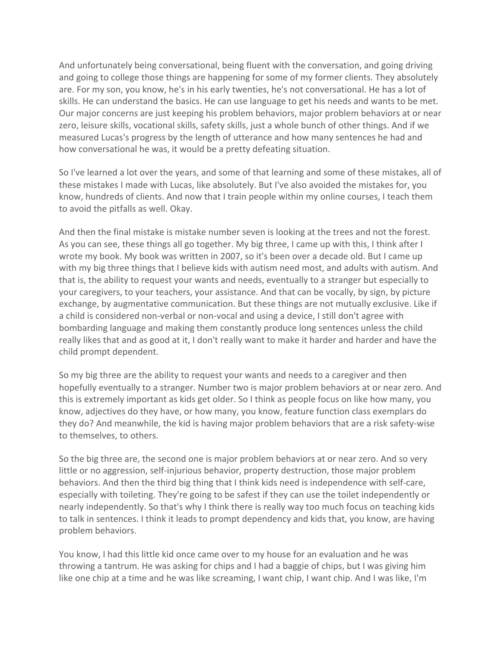And unfortunately being conversational, being fluent with the conversation, and going driving and going to college those things are happening for some of my former clients. They absolutely are. For my son, you know, he's in his early twenties, he's not conversational. He has a lot of skills. He can understand the basics. He can use language to get his needs and wants to be met. Our major concerns are just keeping his problem behaviors, major problem behaviors at or near zero, leisure skills, vocational skills, safety skills, just a whole bunch of other things. And if we measured Lucas's progress by the length of utterance and how many sentences he had and how conversational he was, it would be a pretty defeating situation.

So I've learned a lot over the years, and some of that learning and some of these mistakes, all of these mistakes I made with Lucas, like absolutely. But I've also avoided the mistakes for, you know, hundreds of clients. And now that I train people within my online courses, I teach them to avoid the pitfalls as well. Okay.

And then the final mistake is mistake number seven is looking at the trees and not the forest. As you can see, these things all go together. My big three, I came up with this, I think after I wrote my book. My book was written in 2007, so it's been over a decade old. But I came up with my big three things that I believe kids with autism need most, and adults with autism. And that is, the ability to request your wants and needs, eventually to a stranger but especially to your caregivers, to your teachers, your assistance. And that can be vocally, by sign, by picture exchange, by augmentative communication. But these things are not mutually exclusive. Like if a child is considered non-verbal or non-vocal and using a device, I still don't agree with bombarding language and making them constantly produce long sentences unless the child really likes that and as good at it, I don't really want to make it harder and harder and have the child prompt dependent.

So my big three are the ability to request your wants and needs to a caregiver and then hopefully eventually to a stranger. Number two is major problem behaviors at or near zero. And this is extremely important as kids get older. So I think as people focus on like how many, you know, adjectives do they have, or how many, you know, feature function class exemplars do they do? And meanwhile, the kid is having major problem behaviors that are a risk safety-wise to themselves, to others.

So the big three are, the second one is major problem behaviors at or near zero. And so very little or no aggression, self-injurious behavior, property destruction, those major problem behaviors. And then the third big thing that I think kids need is independence with self-care, especially with toileting. They're going to be safest if they can use the toilet independently or nearly independently. So that's why I think there is really way too much focus on teaching kids to talk in sentences. I think it leads to prompt dependency and kids that, you know, are having problem behaviors.

You know, I had this little kid once came over to my house for an evaluation and he was throwing a tantrum. He was asking for chips and I had a baggie of chips, but I was giving him like one chip at a time and he was like screaming, I want chip, I want chip. And I was like, I'm